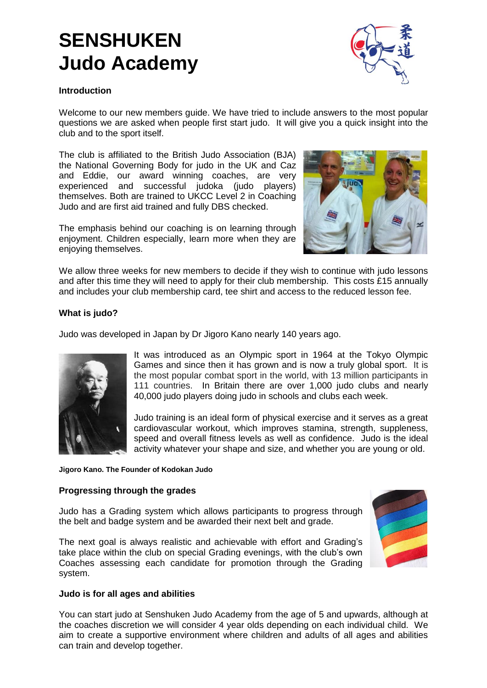# **SENSHUKEN Judo Academy**



#### **Introduction**

Welcome to our new members guide. We have tried to include answers to the most popular questions we are asked when people first start judo. It will give you a quick insight into the club and to the sport itself.

The club is affiliated to the British Judo Association (BJA) the National Governing Body for judo in the UK and Caz and Eddie, our award winning coaches, are very experienced and successful judoka (judo players) themselves. Both are trained to UKCC Level 2 in Coaching Judo and are first aid trained and fully DBS checked.

The emphasis behind our coaching is on learning through enjoyment. Children especially, learn more when they are enjoying themselves.



We allow three weeks for new members to decide if they wish to continue with judo lessons and after this time they will need to apply for their club membership. This costs £15 annually and includes your club membership card, tee shirt and access to the reduced lesson fee.

### **What is judo?**

Judo was developed in Japan by Dr Jigoro Kano nearly 140 years ago.



It was introduced as an Olympic sport in 1964 at the Tokyo Olympic Games and since then it has grown and is now a truly global sport. It is the most popular combat sport in the world, with 13 million participants in 111 countries. In Britain there are over 1,000 judo clubs and nearly 40,000 judo players doing judo in schools and clubs each week.

Judo training is an ideal form of physical exercise and it serves as a great cardiovascular workout, which improves stamina, strength, suppleness, speed and overall fitness levels as well as confidence. Judo is the ideal activity whatever your shape and size, and whether you are young or old.

**Jigoro Kano. The Founder of Kodokan Judo**

#### **Progressing through the grades**

Judo has a Grading system which allows participants to progress through the belt and badge system and be awarded their next belt and grade.

The next goal is always realistic and achievable with effort and Grading's take place within the club on special Grading evenings, with the club's own Coaches assessing each candidate for promotion through the Grading system.



#### **Judo is for all ages and abilities**

You can start judo at Senshuken Judo Academy from the age of 5 and upwards, although at the coaches discretion we will consider 4 year olds depending on each individual child. We aim to create a supportive environment where children and adults of all ages and abilities can train and develop together.